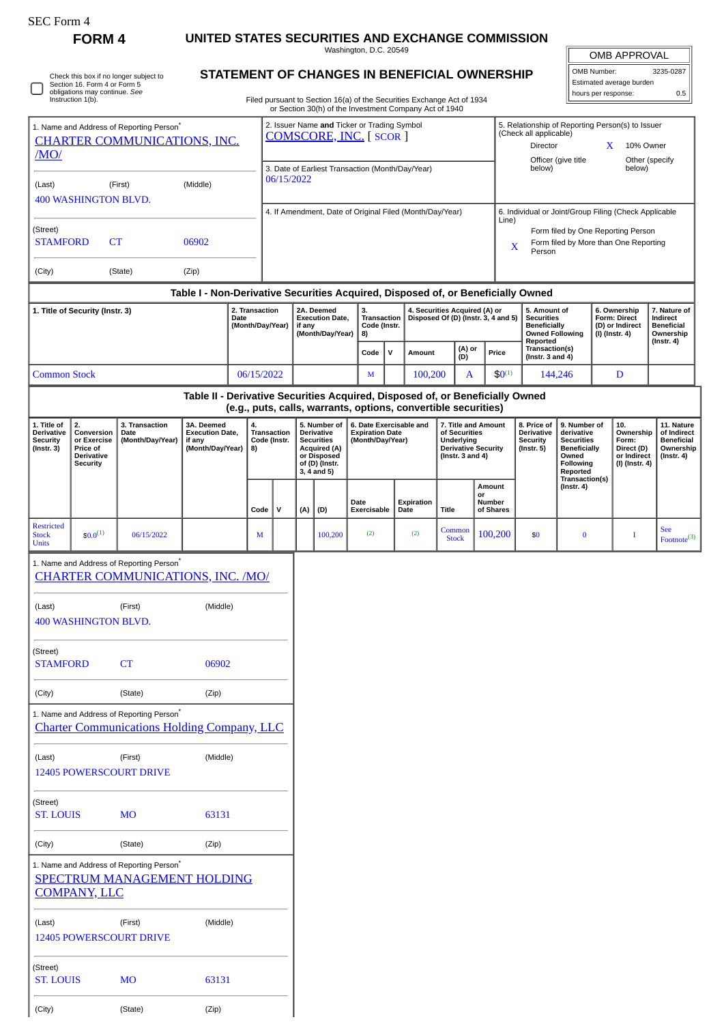| SEC Form - |  |
|------------|--|
|------------|--|

## **FORM 4 UNITED STATES SECURITIES AND EXCHANGE COMMISSION**

Washington, D.C. 20549

OMB APPROVAL

| OMB Number:              | 3235-0287 |
|--------------------------|-----------|
| Estimated average burden |           |
| hours per response:      | 0.5       |

Check this box if no longer subject to Section 16. Form 4 or Form 5 obligations may continue. *See* Instruction 1(b). ∩

(City) (State) (Zip)

## **STATEMENT OF CHANGES IN BENEFICIAL OWNERSHIP**

Filed pursuant to Section 16(a) of the Securities Exchange Act of 1934 or Section 30(h) of the Investment Company Act of 1940

|                                                                  |                                                                                                                                                                                                  |                                                                                                            |                                                                                  |                                                  |                                                          |                                                                                        |                                                                                                                                                                           |                 | or Section 30(n) or the investment Company Act or 1940                 |   |                                                                      |                                                                                                           |                                                                |                                                                                    |                                                                                        |                                                                            |                                                                          |                                                                                 |                                       |
|------------------------------------------------------------------|--------------------------------------------------------------------------------------------------------------------------------------------------------------------------------------------------|------------------------------------------------------------------------------------------------------------|----------------------------------------------------------------------------------|--------------------------------------------------|----------------------------------------------------------|----------------------------------------------------------------------------------------|---------------------------------------------------------------------------------------------------------------------------------------------------------------------------|-----------------|------------------------------------------------------------------------|---|----------------------------------------------------------------------|-----------------------------------------------------------------------------------------------------------|----------------------------------------------------------------|------------------------------------------------------------------------------------|----------------------------------------------------------------------------------------|----------------------------------------------------------------------------|--------------------------------------------------------------------------|---------------------------------------------------------------------------------|---------------------------------------|
|                                                                  |                                                                                                                                                                                                  | 1. Name and Address of Reporting Person <sup>*</sup><br><b>CHARTER COMMUNICATIONS, INC.</b>                |                                                                                  |                                                  |                                                          |                                                                                        |                                                                                                                                                                           |                 | 2. Issuer Name and Ticker or Trading Symbol<br>COMSCORE, INC. [ SCOR ] |   |                                                                      |                                                                                                           |                                                                |                                                                                    | 5. Relationship of Reporting Person(s) to Issuer<br>(Check all applicable)<br>Director |                                                                            | X                                                                        | 10% Owner                                                                       |                                       |
| /MO/                                                             |                                                                                                                                                                                                  |                                                                                                            |                                                                                  | 3. Date of Earliest Transaction (Month/Day/Year) |                                                          |                                                                                        |                                                                                                                                                                           |                 |                                                                        |   |                                                                      | Officer (give title<br>Other (specify<br>below)<br>below)                                                 |                                                                |                                                                                    |                                                                                        |                                                                            |                                                                          |                                                                                 |                                       |
| (Last)                                                           |                                                                                                                                                                                                  | (First)                                                                                                    | (Middle)                                                                         |                                                  |                                                          | 06/15/2022                                                                             |                                                                                                                                                                           |                 |                                                                        |   |                                                                      |                                                                                                           |                                                                |                                                                                    |                                                                                        |                                                                            |                                                                          |                                                                                 |                                       |
| <b>400 WASHINGTON BLVD.</b>                                      |                                                                                                                                                                                                  |                                                                                                            |                                                                                  |                                                  | 4. If Amendment, Date of Original Filed (Month/Day/Year) |                                                                                        |                                                                                                                                                                           |                 |                                                                        |   |                                                                      |                                                                                                           | 6. Individual or Joint/Group Filing (Check Applicable<br>Line) |                                                                                    |                                                                                        |                                                                            |                                                                          |                                                                                 |                                       |
| (Street)<br><b>STAMFORD</b><br>CT<br>06902                       |                                                                                                                                                                                                  |                                                                                                            |                                                                                  |                                                  |                                                          |                                                                                        |                                                                                                                                                                           |                 |                                                                        |   |                                                                      | Form filed by One Reporting Person<br>Form filed by More than One Reporting<br>X<br>Person                |                                                                |                                                                                    |                                                                                        |                                                                            |                                                                          |                                                                                 |                                       |
| (City)                                                           |                                                                                                                                                                                                  | (State)                                                                                                    | (Zip)                                                                            |                                                  |                                                          |                                                                                        |                                                                                                                                                                           |                 |                                                                        |   |                                                                      |                                                                                                           |                                                                |                                                                                    |                                                                                        |                                                                            |                                                                          |                                                                                 |                                       |
|                                                                  |                                                                                                                                                                                                  |                                                                                                            | Table I - Non-Derivative Securities Acquired, Disposed of, or Beneficially Owned |                                                  |                                                          |                                                                                        |                                                                                                                                                                           |                 |                                                                        |   |                                                                      |                                                                                                           |                                                                |                                                                                    |                                                                                        |                                                                            |                                                                          |                                                                                 |                                       |
|                                                                  | 1. Title of Security (Instr. 3)                                                                                                                                                                  |                                                                                                            |                                                                                  | Date                                             | 2. Transaction                                           | 2A. Deemed<br><b>Execution Date,</b><br>(Month/Day/Year)<br>if any<br>(Month/Day/Year) |                                                                                                                                                                           | 3.<br>8)        | <b>Transaction</b><br>Code (Instr.                                     |   | 4. Securities Acquired (A) or<br>Disposed Of (D) (Instr. 3, 4 and 5) |                                                                                                           |                                                                | 5. Amount of<br><b>Securities</b><br><b>Beneficially</b><br><b>Owned Following</b> |                                                                                        | 6. Ownership<br><b>Form: Direct</b><br>(D) or Indirect<br>$(I)$ (Instr. 4) |                                                                          | 7. Nature of<br>Indirect<br><b>Beneficial</b><br>Ownership                      |                                       |
|                                                                  |                                                                                                                                                                                                  |                                                                                                            |                                                                                  |                                                  |                                                          |                                                                                        |                                                                                                                                                                           |                 |                                                                        | v | Amount                                                               |                                                                                                           | (A) or<br>(D)                                                  | Price                                                                              | Reported<br>Transaction(s)<br>(Instr. $3$ and $4$ )                                    |                                                                            |                                                                          |                                                                                 | $($ Instr. 4 $)$                      |
| <b>Common Stock</b>                                              |                                                                                                                                                                                                  |                                                                                                            |                                                                                  |                                                  | 06/15/2022                                               |                                                                                        |                                                                                                                                                                           |                 | M                                                                      |   | 100,200                                                              |                                                                                                           | A                                                              | $$0^{(1)}$$                                                                        |                                                                                        | 144,246                                                                    |                                                                          | D                                                                               |                                       |
|                                                                  |                                                                                                                                                                                                  |                                                                                                            | Table II - Derivative Securities Acquired, Disposed of, or Beneficially Owned    |                                                  |                                                          |                                                                                        |                                                                                                                                                                           |                 |                                                                        |   |                                                                      |                                                                                                           |                                                                |                                                                                    |                                                                                        |                                                                            |                                                                          |                                                                                 |                                       |
| 1. Title of<br>Derivative<br><b>Security</b><br>$($ Instr. 3 $)$ | 2.<br>3. Transaction<br>3A. Deemed<br><b>Execution Date,</b><br>Conversion<br>Date<br>or Exercise<br>(Month/Day/Year)<br>if any<br>(Month/Day/Year)<br>Price of<br>Derivative<br><b>Security</b> |                                                                                                            |                                                                                  | 4.<br>8)                                         | Transaction<br>Code (Instr.                              |                                                                                        | (e.g., puts, calls, warrants, options, convertible securities)<br>5. Number of<br><b>Derivative</b><br><b>Securities</b><br>Acquired (A)<br>or Disposed<br>of (D) (Instr. |                 | 6. Date Exercisable and<br><b>Expiration Date</b><br>(Month/Day/Year)  |   |                                                                      | 7. Title and Amount<br>of Securities<br>Underlying<br><b>Derivative Security</b><br>(Instr. $3$ and $4$ ) |                                                                | 8. Price of<br><b>Derivative</b><br><b>Security</b><br>$($ Instr. 5 $)$            | 9. Number of<br>derivative<br><b>Securities</b><br><b>Beneficially</b><br>Owned        |                                                                            | 10.<br>Ownership<br>Form:<br>Direct (D)<br>or Indirect<br>(I) (Instr. 4) | 11. Nature<br>of Indirect<br><b>Beneficial</b><br>Ownership<br>$($ Instr. 4 $)$ |                                       |
|                                                                  |                                                                                                                                                                                                  |                                                                                                            |                                                                                  |                                                  |                                                          |                                                                                        |                                                                                                                                                                           | $3, 4$ and $5)$ | Date                                                                   |   | <b>Expiration</b>                                                    |                                                                                                           | or                                                             | Amount<br><b>Number</b>                                                            | <b>Following</b><br>Reported<br>Transaction(s)<br>$($ Instr. 4 $)$                     |                                                                            |                                                                          |                                                                                 |                                       |
| <b>Restricted</b><br><b>Stock</b>                                | $$0.0^{(1)}$$                                                                                                                                                                                    | 06/15/2022                                                                                                 |                                                                                  |                                                  | Code<br>M                                                | v                                                                                      | (A)                                                                                                                                                                       | (D)<br>100,200  | Exercisable<br>(2)                                                     |   | Date<br>(2)                                                          | <b>Title</b>                                                                                              | <b>Common</b><br><b>Stock</b>                                  | of Shares<br>100,200                                                               | \$0                                                                                    | $\bf{0}$                                                                   |                                                                          | $\bf{I}$                                                                        | <b>See</b><br>Footnote <sup>(3)</sup> |
| <b>Units</b>                                                     |                                                                                                                                                                                                  | 1. Name and Address of Reporting Person <sup>®</sup>                                                       |                                                                                  |                                                  |                                                          |                                                                                        |                                                                                                                                                                           |                 |                                                                        |   |                                                                      |                                                                                                           |                                                                |                                                                                    |                                                                                        |                                                                            |                                                                          |                                                                                 |                                       |
|                                                                  |                                                                                                                                                                                                  | <b>CHARTER COMMUNICATIONS, INC. /MO/</b>                                                                   |                                                                                  |                                                  |                                                          |                                                                                        |                                                                                                                                                                           |                 |                                                                        |   |                                                                      |                                                                                                           |                                                                |                                                                                    |                                                                                        |                                                                            |                                                                          |                                                                                 |                                       |
| (Last)                                                           | 400 WASHINGTON BLVD.                                                                                                                                                                             | (First)                                                                                                    | (Middle)                                                                         |                                                  |                                                          |                                                                                        |                                                                                                                                                                           |                 |                                                                        |   |                                                                      |                                                                                                           |                                                                |                                                                                    |                                                                                        |                                                                            |                                                                          |                                                                                 |                                       |
| (Street)<br><b>STAMFORD</b>                                      |                                                                                                                                                                                                  | CT                                                                                                         | 06902                                                                            |                                                  |                                                          |                                                                                        |                                                                                                                                                                           |                 |                                                                        |   |                                                                      |                                                                                                           |                                                                |                                                                                    |                                                                                        |                                                                            |                                                                          |                                                                                 |                                       |
| (City)                                                           |                                                                                                                                                                                                  | (State)                                                                                                    | (Zip)                                                                            |                                                  |                                                          |                                                                                        |                                                                                                                                                                           |                 |                                                                        |   |                                                                      |                                                                                                           |                                                                |                                                                                    |                                                                                        |                                                                            |                                                                          |                                                                                 |                                       |
|                                                                  |                                                                                                                                                                                                  | 1. Name and Address of Reporting Person <sup>*</sup><br><b>Charter Communications Holding Company, LLC</b> |                                                                                  |                                                  |                                                          |                                                                                        |                                                                                                                                                                           |                 |                                                                        |   |                                                                      |                                                                                                           |                                                                |                                                                                    |                                                                                        |                                                                            |                                                                          |                                                                                 |                                       |
| (Last)                                                           |                                                                                                                                                                                                  | (First)<br><b>12405 POWERSCOURT DRIVE</b>                                                                  | (Middle)                                                                         |                                                  |                                                          |                                                                                        |                                                                                                                                                                           |                 |                                                                        |   |                                                                      |                                                                                                           |                                                                |                                                                                    |                                                                                        |                                                                            |                                                                          |                                                                                 |                                       |
| (Street)<br><b>ST. LOUIS</b>                                     |                                                                                                                                                                                                  | <b>MO</b>                                                                                                  | 63131                                                                            |                                                  |                                                          |                                                                                        |                                                                                                                                                                           |                 |                                                                        |   |                                                                      |                                                                                                           |                                                                |                                                                                    |                                                                                        |                                                                            |                                                                          |                                                                                 |                                       |
| (City)                                                           |                                                                                                                                                                                                  | (State)                                                                                                    | (Zip)                                                                            |                                                  |                                                          |                                                                                        |                                                                                                                                                                           |                 |                                                                        |   |                                                                      |                                                                                                           |                                                                |                                                                                    |                                                                                        |                                                                            |                                                                          |                                                                                 |                                       |
|                                                                  | <b>COMPANY, LLC</b>                                                                                                                                                                              | 1. Name and Address of Reporting Person <sup>*</sup><br><b>SPECTRUM MANAGEMENT HOLDING</b>                 |                                                                                  |                                                  |                                                          |                                                                                        |                                                                                                                                                                           |                 |                                                                        |   |                                                                      |                                                                                                           |                                                                |                                                                                    |                                                                                        |                                                                            |                                                                          |                                                                                 |                                       |
| (Last)                                                           |                                                                                                                                                                                                  | (First)<br><b>12405 POWERSCOURT DRIVE</b>                                                                  | (Middle)                                                                         |                                                  |                                                          |                                                                                        |                                                                                                                                                                           |                 |                                                                        |   |                                                                      |                                                                                                           |                                                                |                                                                                    |                                                                                        |                                                                            |                                                                          |                                                                                 |                                       |
| (Street)<br><b>ST. LOUIS</b>                                     |                                                                                                                                                                                                  | <b>MO</b>                                                                                                  | 63131                                                                            |                                                  |                                                          |                                                                                        |                                                                                                                                                                           |                 |                                                                        |   |                                                                      |                                                                                                           |                                                                |                                                                                    |                                                                                        |                                                                            |                                                                          |                                                                                 |                                       |